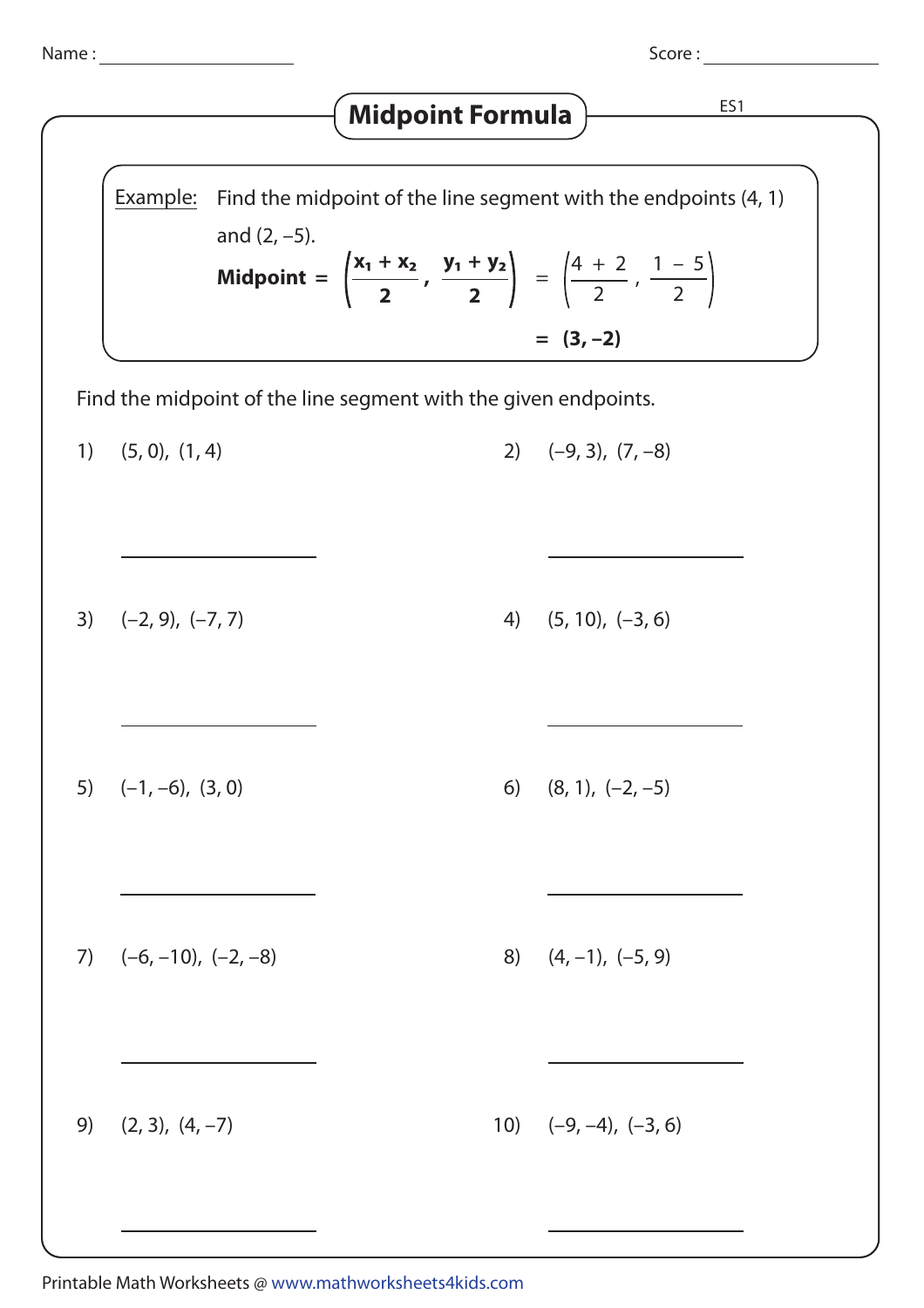